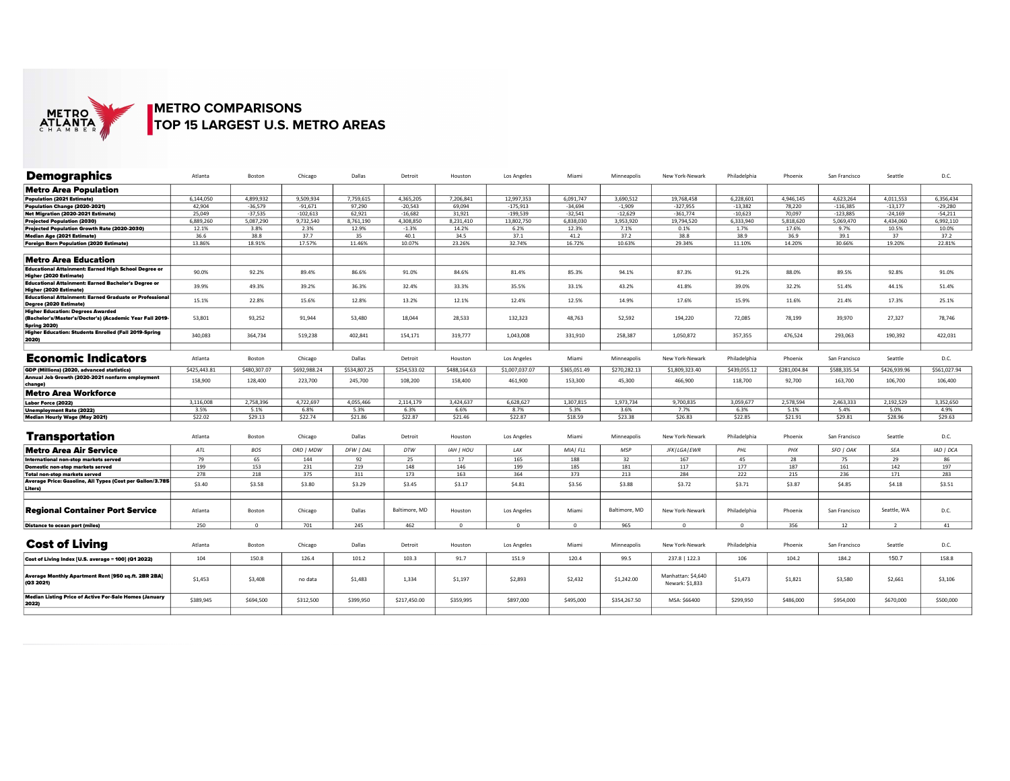

## METRO COMPARISONS METRO COMPARISONS<br>TOP 15 LARGEST U.S. METRO AREAS<br>Atlanta Boston Chicago Dallas Pr

| <b>Demographics</b>                                                               | Atlanta      | Boston         | Chicago      | Dallas       | Detroit       | Houston      | Los Angeles    | Miami        | Minneapolis   | New York-Newark                       | Philadelphia | Phoenix      | San Francisco | Seattle      | D.C.         |
|-----------------------------------------------------------------------------------|--------------|----------------|--------------|--------------|---------------|--------------|----------------|--------------|---------------|---------------------------------------|--------------|--------------|---------------|--------------|--------------|
| <b>Metro Area Population</b>                                                      |              |                |              |              |               |              |                |              |               |                                       |              |              |               |              |              |
| Population (2021 Estimate)                                                        | 6.144.050    | 4.899.932      | 9,509,934    | 7,759,615    | 4,365,205     | 7,206,841    | 12,997,353     | 6.091.747    | 3.690.512     | 19,768,458                            | 6,228,601    | 4,946,145    | 4,623,264     | 4,011,553    | 6,356,434    |
| Population Change (2020-2021)                                                     | 42.904       | $-36.579$      | $-91.671$    | 97,290       | $-20.543$     | 69.094       | $-175,913$     | $-34.694$    | $-1.909$      | $-327.955$                            | $-13,382$    | 78,220       | $-116.385$    | $-13.177$    | $-29.280$    |
| Net Migration (2020-2021 Estimate)                                                | 25.049       | $-37,535$      | $-102.613$   | 62,921       | $-16.682$     | 31,921       | $-199,539$     | $-32,541$    | $-12,629$     | $-361,774$                            | $-10,623$    | 70.097       | $-123,885$    | $-24,169$    | $-54,211$    |
| Projected Population (2030)                                                       | 6,889,260    | 5,087,290      | 9,732,540    | 8,761,190    | 4.308.850     | 8,231,410    | 13,802,750     | 6.838.030    | 3,953,920     | 19,794,520                            | 6,333,940    | 5,818,620    | 5.069.470     | 4.434.060    | 6,992,110    |
| Projected Population Growth Rate (2020-2030)                                      | 12.1%        | 3.8%           | 2.3%         | 12.9%        | $-1.3%$       | 14.2%        | 6.2%           | 12.3%        | 7.1%          | 0.1%                                  | 1.7%         | 17.6%        | 9.7%          | 10.5%        | 10.0%        |
|                                                                                   | 36.6         | 38.8           | 37.7         | 35           | 40.1          | 34.5         | 37.1           | 41.2         | 37.2          | 38.8                                  | 38.9         | 36.9         | 39.1          | 37           | 37.2         |
| Median Age (2021 Estimate)                                                        | 13.86%       | 18.91%         | 17.57%       | 11.46%       | 10.07%        | 23.26%       | 32.74%         | 16.72%       | 10.63%        | 29.34%                                | 11.10%       | 14.20%       | 30.66%        | 19.20%       | 22.81%       |
| Foreign Born Population (2020 Estimate)                                           |              |                |              |              |               |              |                |              |               |                                       |              |              |               |              |              |
| Metro Area Education                                                              |              |                |              |              |               |              |                |              |               |                                       |              |              |               |              |              |
| Educational Attainment: Earned High School Degree or<br>Higher (2020 Estimate)    | 90.0%        | 92.2%          | 89.4%        | 86.6%        | 91.0%         | 84.6%        | 81.4%          | 85.3%        | 94.1%         | 87.3%                                 | 91.2%        | 88.0%        | 89.5%         | 92.8%        | 91.0%        |
| Educational Attainment: Earned Bachelor's Degree or<br>Higher (2020 Estimate)     | 39.9%        | 49.3%          | 39.2%        | 36.3%        | 32.4%         | 33.3%        | 35.5%          | 33.1%        | 43.2%         | 41.8%                                 | 39.0%        | 32.2%        | 51.4%         | 44.1%        | 51.4%        |
| Educational Attainment: Earned Graduate or Professional<br>Degree (2020 Estimate) | 15.1%        | 22.8%          | 15.6%        | 12.8%        | 13.2%         | 12.1%        | 12.4%          | 12.5%        | 14.9%         | 17.6%                                 | 15.9%        | 11.6%        | 21.4%         | 17.3%        | 25.1%        |
| Higher Education: Degrees Awarded                                                 |              |                |              |              |               |              |                |              |               |                                       |              |              |               |              |              |
| (Bachelor's/Master's/Doctor's) (Academic Year Fall 2019-<br><b>Spring 2020)</b>   | 53,801       | 93,252         | 91,944       | 53,480       | 18,044        | 28,533       | 132,323        | 48,763       | 52,592        | 194,220                               | 72,085       | 78,199       | 39,970        | 27,327       | 78,746       |
| Higher Education: Students Enrolled (Fall 2019-Spring<br>2020)                    | 340.083      | 364,734        | 519,238      | 402,841      | 154,171       | 319,777      | 1,043,008      | 331,910      | 258.387       | 1,050,872                             | 357,355      | 476,524      | 293,063       | 190,392      | 422,031      |
|                                                                                   |              |                |              |              |               |              |                |              |               |                                       |              |              |               |              |              |
| <b>Economic Indicators</b>                                                        | Atlanta      | Boston         | Chicago      | Dallas       | Detroit       | Houston      | Los Angeles    | Miami        | Minneapolis   | New York-Newark                       | Philadelphia | Phoenix      | San Francisco | Seattle      | D.C.         |
| GDP (Millions) (2020, advanced statistics)                                        | \$425,443.81 | \$480,307.07   | \$692,988.24 | \$534,807.25 | \$254,533.02  | \$488,164.63 | \$1,007,037.07 | \$365,051.49 | \$270,282.13  | \$1,809,323.40                        | \$439,055.12 | \$281,004.84 | \$588,335.54  | \$426,939.96 | \$561,027.94 |
| Annual Job Growth (2020-2021 nonfarm employment<br>change)                        | 158,900      | 128,400        | 223,700      | 245,700      | 108,200       | 158,400      | 461,900        | 153,300      | 45.300        | 466,900                               | 118,700      | 92,700       | 163,700       | 106,700      | 106,400      |
| Metro Area Workforce                                                              |              |                |              |              |               |              |                |              |               |                                       |              |              |               |              |              |
| Labor Force (2022)                                                                | 3.116.008    | 2,758,396      | 4,722,697    | 4,055,466    | 2,114,179     | 3,424,637    | 6,628,627      | 1,307,815    | 1,973,734     | 9.700.835                             | 3,059,677    | 2,578,594    | 2,463,333     | 2,192,529    | 3,352,650    |
| Unemployment Rate (2022)                                                          | 3.5%         | 5.1%           | 6.8%         | 5.3%         | 6.3%          | 6.6%         | 8.7%           | 5.3%         | 3.6%          | 7.7%                                  | 6.3%         | 5.1%         | 5.4%          | 5.0%         | 4.9%         |
| Median Hourly Wage (May 2021)                                                     | \$22.02      | \$29.13        | \$22.74      | \$21.86      | \$22.87       | \$21.46      | \$22.87        | \$18.59      | \$23.38       | \$26.83                               | \$22.85      | \$21.91      | \$29.81       | \$28.96      | \$29.63      |
|                                                                                   |              |                |              |              |               |              |                |              |               |                                       |              |              |               |              |              |
| <b>Transportation</b>                                                             | Atlanta      | Boston         | Chicago      | Dallas       | Detroit       | Houston      | Los Angeles    | Miami        | Minneapolis   | New York-Newark                       | Philadelphia | Phoenix      | San Francisco | Seattle      | D.C.         |
| Metro Area Air Service                                                            | ATL          | <b>BOS</b>     | ORD   MDW    | DFW   DAL    | DTW           | IAH   HOU    | LAX            | MIAI FLL     | <b>MSP</b>    | JFK   LGA   EWR                       | PHL          | PHX          | SFO   OAK     | SEA          | IAD   DCA    |
| International non-stop markets served                                             | 79           | 65             | 144          | 92           | 25            | 17           | 165            | 188          | 32            | 167                                   | 45           | 28           | 75            | 29           | 86           |
| Domestic non-stop markets served                                                  | 199          | 153            | 231          | 219          | 148           | 146          | 199            | 185          | 181           | 117                                   | 177          | 187          | 161           | 142          | 197          |
| Total non-stop markets served                                                     | 278          | 218            | 375          | 311          | 173           | 163          | 364            | 373          | 213           | 284                                   | 222          | 215          | 236           | 171          | 283          |
| Average Price: Gasoline, All Types (Cost per Gallon/3.785<br>Liters)              | \$3.40       | \$3.58         | \$3.80       | \$3.29       | \$3.45        | \$3.17       | \$4.81         | \$3.56       | \$3.88        | \$3.72                                | \$3.71       | \$3.87       | \$4.85        | \$4.18       | \$3.51       |
|                                                                                   |              |                |              |              |               |              |                |              |               |                                       |              |              |               |              |              |
| Regional Container Port Service                                                   | Atlanta      | Boston         | Chicago      | Dallas       | Baltimore, MD | Houston      | Los Angeles    | Miami        | Baltimore, MD | New York-Newark                       | Philadelphia | Phoenix      | San Francisco | Seattle, WA  | D.C.         |
| <b>Distance to ocean port (miles)</b>                                             | 250          | $\overline{0}$ | 701          | 245          | 462           | $^{\circ}$   | $\Omega$       | $^{\circ}$   | 965           | $\Omega$                              | $^{\circ}$   | 356          | 12            | <sup>2</sup> | 41           |
|                                                                                   |              |                |              |              |               |              |                |              |               |                                       |              |              |               |              |              |
| <b>Cost of Living</b>                                                             | Atlanta      | Boston         | Chicago      | Dallas       | Detroit       | Houston      | Los Angeles    | Miami        | Minneapolis   | New York-Newark                       | Philadelphia | Phoenix      | San Francisco | Seattle      | D.C.         |
| Cost of Living Index [U.S. average = 100] (Q1 2022)                               | 104          | 150.8          | 126.4        | 101.2        | 103.3         | 91.7         | 151.9          | 120.4        | 99.5          | 237.8   122.3                         | 106          | 104.2        | 184.2         | 150.7        | 158.8        |
| Average Monthly Apartment Rent [950 sq.ft. 2BR 2BA]<br>(Q3 2021)                  | \$1,453      | \$3,408        | no data      | \$1,483      | 1,334         | \$1,197      | \$2,893        | \$2,432      | \$1,242.00    | Manhattan: \$4.640<br>Newark: \$1,833 | \$1,473      | \$1,821      | \$3,580       | \$2,661      | \$3,106      |
| Median Listing Price of Active For-Sale Homes (January<br>2022)                   | \$389,945    | \$694,500      | \$312,500    | \$399,950    | \$217,450.00  | \$359,995    | \$897,000      | \$495,000    | \$354,267.50  | MSA: \$66400                          | \$299,950    | \$486,000    | \$954,000     | \$670,000    | \$500,000    |
|                                                                                   |              |                |              |              |               |              |                |              |               |                                       |              |              |               |              |              |